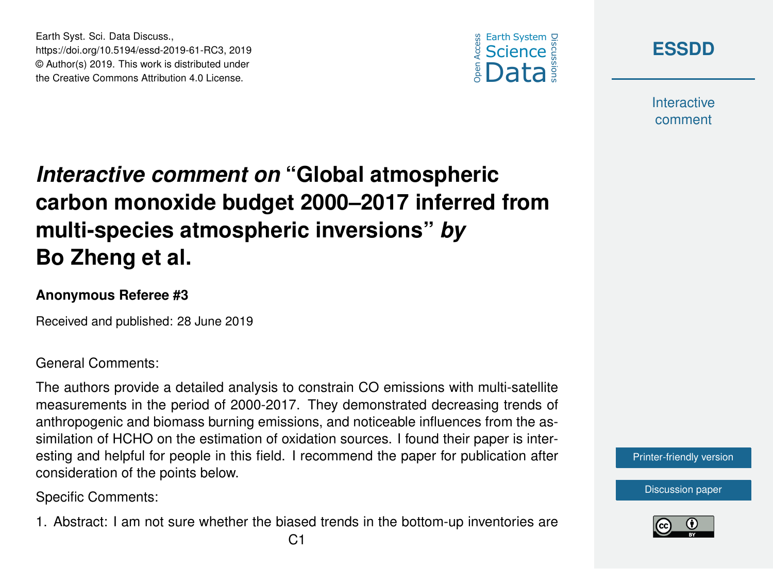



**Interactive** comment

## *Interactive comment on* **"Global atmospheric carbon monoxide budget 2000–2017 inferred from multi-species atmospheric inversions"** *by* **Bo Zheng et al.**

## **Anonymous Referee #3**

Earth Syst. Sci. Data Discuss.,

https://doi.org/10.5194/essd-2019-61-RC3, 2019 © Author(s) 2019. This work is distributed under the Creative Commons Attribution 4.0 License.

Received and published: 28 June 2019

## General Comments:

The authors provide a detailed analysis to constrain CO emissions with multi-satellite measurements in the period of 2000-2017. They demonstrated decreasing trends of anthropogenic and biomass burning emissions, and noticeable influences from the assimilation of HCHO on the estimation of oxidation sources. I found their paper is interesting and helpful for people in this field. I recommend the paper for publication after consideration of the points below.

Specific Comments:

1. Abstract: I am not sure whether the biased trends in the bottom-up inventories are



[Discussion paper](https://www.earth-syst-sci-data-discuss.net/essd-2019-61)

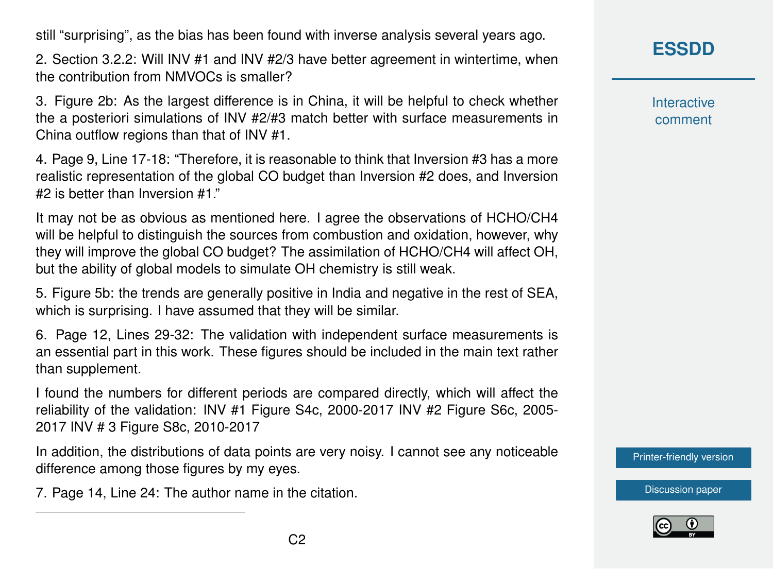still "surprising", as the bias has been found with inverse analysis several years ago.

2. Section 3.2.2: Will INV #1 and INV #2/3 have better agreement in wintertime, when the contribution from NMVOCs is smaller?

3. Figure 2b: As the largest difference is in China, it will be helpful to check whether the a posteriori simulations of INV #2/#3 match better with surface measurements in China outflow regions than that of INV #1.

4. Page 9, Line 17-18: "Therefore, it is reasonable to think that Inversion #3 has a more realistic representation of the global CO budget than Inversion #2 does, and Inversion #2 is better than Inversion #1."

It may not be as obvious as mentioned here. I agree the observations of HCHO/CH4 will be helpful to distinguish the sources from combustion and oxidation, however, why they will improve the global CO budget? The assimilation of HCHO/CH4 will affect OH, but the ability of global models to simulate OH chemistry is still weak.

5. Figure 5b: the trends are generally positive in India and negative in the rest of SEA, which is surprising. I have assumed that they will be similar.

6. Page 12, Lines 29-32: The validation with independent surface measurements is an essential part in this work. These figures should be included in the main text rather than supplement.

I found the numbers for different periods are compared directly, which will affect the reliability of the validation: INV #1 Figure S4c, 2000-2017 INV #2 Figure S6c, 2005- 2017 INV # 3 Figure S8c, 2010-2017

In addition, the distributions of data points are very noisy. I cannot see any noticeable difference among those figures by my eyes.

7. Page 14, Line 24: The author name in the citation.

**[ESSDD](https://www.earth-syst-sci-data-discuss.net/)**

**Interactive** comment

[Printer-friendly version](https://www.earth-syst-sci-data-discuss.net/essd-2019-61/essd-2019-61-RC3-print.pdf)